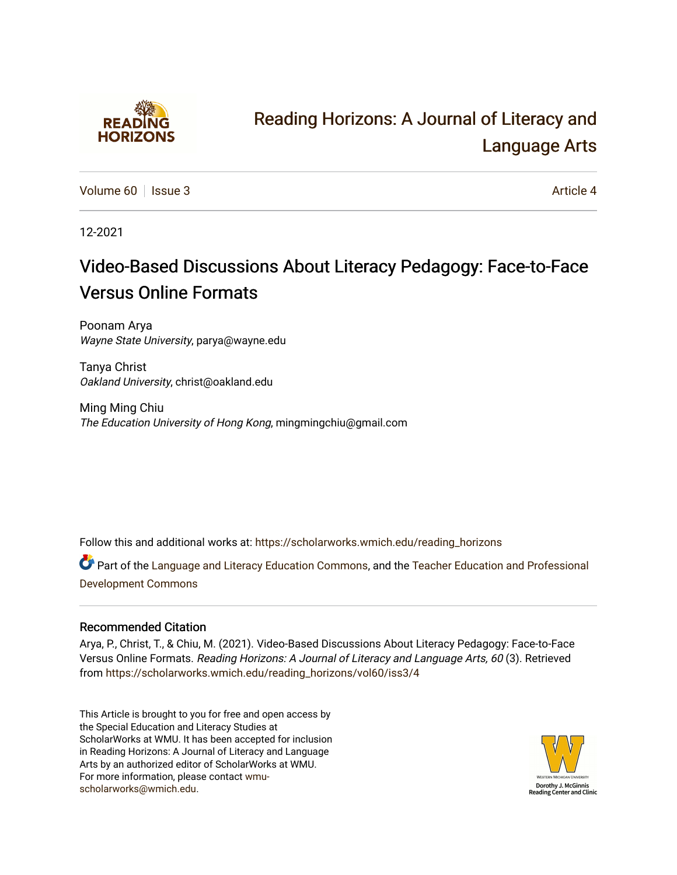

# [Reading Horizons: A Journal of Literacy and](https://scholarworks.wmich.edu/reading_horizons)  [Language Arts](https://scholarworks.wmich.edu/reading_horizons)

[Volume 60](https://scholarworks.wmich.edu/reading_horizons/vol60) | [Issue 3](https://scholarworks.wmich.edu/reading_horizons/vol60/iss3) Article 4

12-2021

# Video-Based Discussions About Literacy Pedagogy: Face-to-Face Versus Online Formats

Poonam Arya Wayne State University, parya@wayne.edu

Tanya Christ Oakland University, christ@oakland.edu

Ming Ming Chiu The Education University of Hong Kong, mingmingchiu@gmail.com

Follow this and additional works at: [https://scholarworks.wmich.edu/reading\\_horizons](https://scholarworks.wmich.edu/reading_horizons?utm_source=scholarworks.wmich.edu%2Freading_horizons%2Fvol60%2Fiss3%2F4&utm_medium=PDF&utm_campaign=PDFCoverPages)

Part of the [Language and Literacy Education Commons,](http://network.bepress.com/hgg/discipline/1380?utm_source=scholarworks.wmich.edu%2Freading_horizons%2Fvol60%2Fiss3%2F4&utm_medium=PDF&utm_campaign=PDFCoverPages) and the [Teacher Education and Professional](http://network.bepress.com/hgg/discipline/803?utm_source=scholarworks.wmich.edu%2Freading_horizons%2Fvol60%2Fiss3%2F4&utm_medium=PDF&utm_campaign=PDFCoverPages)  [Development Commons](http://network.bepress.com/hgg/discipline/803?utm_source=scholarworks.wmich.edu%2Freading_horizons%2Fvol60%2Fiss3%2F4&utm_medium=PDF&utm_campaign=PDFCoverPages) 

## Recommended Citation

Arya, P., Christ, T., & Chiu, M. (2021). Video-Based Discussions About Literacy Pedagogy: Face-to-Face Versus Online Formats. Reading Horizons: A Journal of Literacy and Language Arts, 60 (3). Retrieved from [https://scholarworks.wmich.edu/reading\\_horizons/vol60/iss3/4](https://scholarworks.wmich.edu/reading_horizons/vol60/iss3/4?utm_source=scholarworks.wmich.edu%2Freading_horizons%2Fvol60%2Fiss3%2F4&utm_medium=PDF&utm_campaign=PDFCoverPages) 

This Article is brought to you for free and open access by the Special Education and Literacy Studies at ScholarWorks at WMU. It has been accepted for inclusion in Reading Horizons: A Journal of Literacy and Language Arts by an authorized editor of ScholarWorks at WMU. For more information, please contact [wmu](mailto:wmu-scholarworks@wmich.edu)[scholarworks@wmich.edu.](mailto:wmu-scholarworks@wmich.edu)

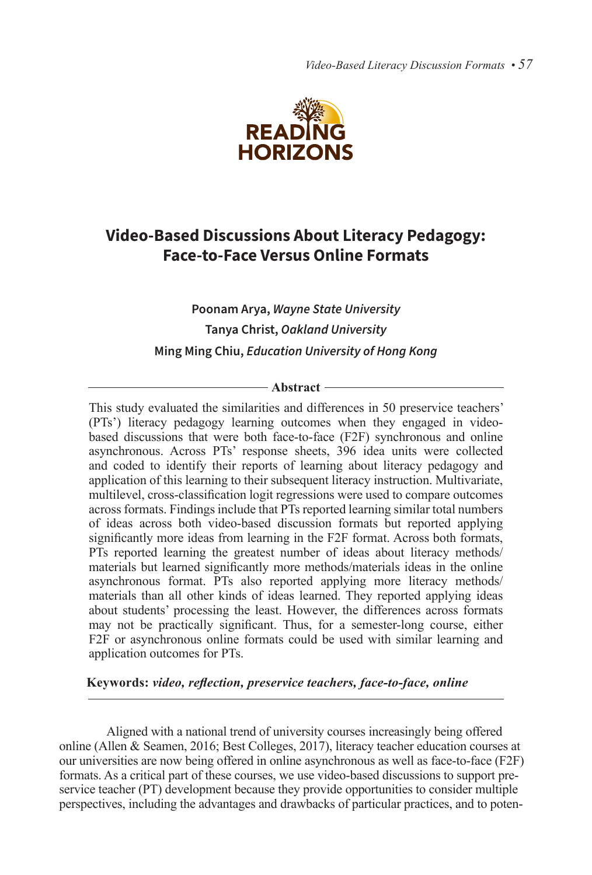*Video-Based Literacy Discussion Formats • 57*



# **Video-Based Discussions About Literacy Pedagogy: Face-to-Face Versus Online Formats**

# **Poonam Arya,** *Wayne State University* **Tanya Christ,** *Oakland University* **Ming Ming Chiu,** *Education University of Hong Kong*

#### - Abstract -

This study evaluated the similarities and differences in 50 preservice teachers' (PTs') literacy pedagogy learning outcomes when they engaged in videobased discussions that were both face-to-face (F2F) synchronous and online asynchronous. Across PTs' response sheets, 396 idea units were collected and coded to identify their reports of learning about literacy pedagogy and application of this learning to their subsequent literacy instruction. Multivariate, multilevel, cross-classification logit regressions were used to compare outcomes across formats. Findings include that PTs reported learning similar total numbers of ideas across both video-based discussion formats but reported applying significantly more ideas from learning in the F2F format. Across both formats, PTs reported learning the greatest number of ideas about literacy methods/ materials but learned significantly more methods/materials ideas in the online asynchronous format. PTs also reported applying more literacy methods/ materials than all other kinds of ideas learned. They reported applying ideas about students' processing the least. However, the differences across formats may not be practically significant. Thus, for a semester-long course, either F2F or asynchronous online formats could be used with similar learning and application outcomes for PTs.

## **Keywords:** *video, reflection, preservice teachers, face-to-face, online*

Aligned with a national trend of university courses increasingly being offered online (Allen & Seamen, 2016; Best Colleges, 2017), literacy teacher education courses at our universities are now being offered in online asynchronous as well as face-to-face (F2F) formats. As a critical part of these courses, we use video-based discussions to support preservice teacher (PT) development because they provide opportunities to consider multiple perspectives, including the advantages and drawbacks of particular practices, and to poten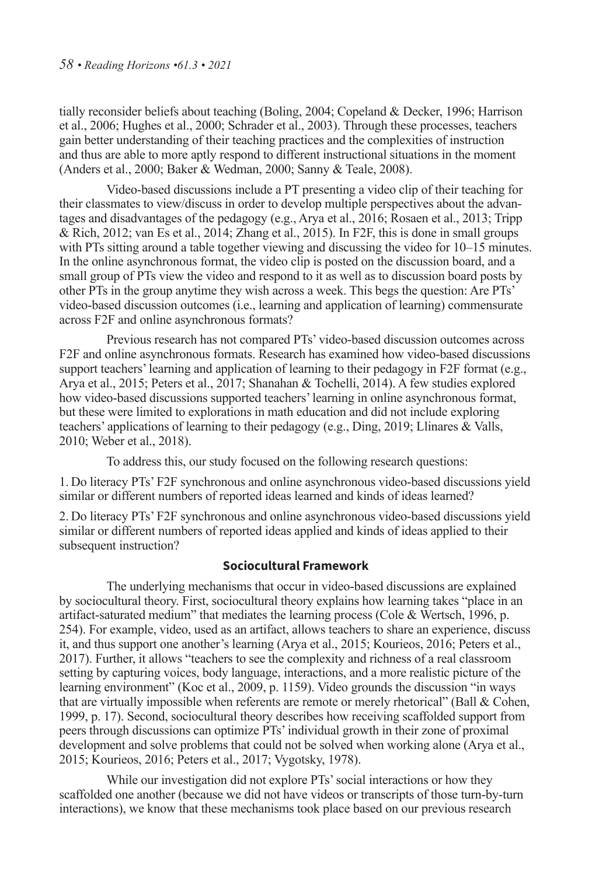tially reconsider beliefs about teaching (Boling, 2004; Copeland & Decker, 1996; Harrison et al., 2006; Hughes et al., 2000; Schrader et al., 2003). Through these processes, teachers gain better understanding of their teaching practices and the complexities of instruction and thus are able to more aptly respond to different instructional situations in the moment (Anders et al., 2000; Baker & Wedman, 2000; Sanny & Teale, 2008).

Video-based discussions include a PT presenting a video clip of their teaching for their classmates to view/discuss in order to develop multiple perspectives about the advantages and disadvantages of the pedagogy (e.g., Arya et al., 2016; Rosaen et al., 2013; Tripp  $\&$  Rich, 2012; van Es et al., 2014; Zhang et al., 2015). In F2F, this is done in small groups with PTs sitting around a table together viewing and discussing the video for  $10-15$  minutes. In the online asynchronous format, the video clip is posted on the discussion board, and a small group of PTs view the video and respond to it as well as to discussion board posts by other PTs in the group anytime they wish across a week. This begs the question: Are PTs' video-based discussion outcomes (i.e., learning and application of learning) commensurate across F2F and online asynchronous formats?

Previous research has not compared PTs' video-based discussion outcomes across F2F and online asynchronous formats. Research has examined how video-based discussions support teachers' learning and application of learning to their pedagogy in F2F format (e.g., Arya et al., 2015; Peters et al., 2017; Shanahan & Tochelli, 2014). A few studies explored how video-based discussions supported teachers' learning in online asynchronous format, but these were limited to explorations in math education and did not include exploring teachers' applications of learning to their pedagogy (e.g., Ding, 2019; Llinares & Valls, 2010; Weber et al., 2018).

To address this, our study focused on the following research questions:

1. Do literacy PTs' F2F synchronous and online asynchronous video-based discussions yield similar or different numbers of reported ideas learned and kinds of ideas learned?

2. Do literacy PTs' F2F synchronous and online asynchronous video-based discussions yield similar or different numbers of reported ideas applied and kinds of ideas applied to their subsequent instruction?

## **Sociocultural Framework**

The underlying mechanisms that occur in video-based discussions are explained by sociocultural theory. First, sociocultural theory explains how learning takes "place in an artifact-saturated medium" that mediates the learning process (Cole  $&$  Wertsch, 1996, p. 254). For example, video, used as an artifact, allows teachers to share an experience, discuss it, and thus support one another's learning (Arya et al., 2015; Kourieos, 2016; Peters et al., 2017). Further, it allows "teachers to see the complexity and richness of a real classroom setting by capturing voices, body language, interactions, and a more realistic picture of the learning environment" (Koc et al., 2009, p. 1159). Video grounds the discussion "in ways that are virtually impossible when referents are remote or merely rhetorical" (Ball & Cohen, 1999, p. 17). Second, sociocultural theory describes how receiving scaffolded support from peers through discussions can optimize PTs' individual growth in their zone of proximal development and solve problems that could not be solved when working alone (Arya et al., 2015; Kourieos, 2016; Peters et al., 2017; Vygotsky, 1978).

While our investigation did not explore PTs' social interactions or how they scaffolded one another (because we did not have videos or transcripts of those turn-by-turn interactions), we know that these mechanisms took place based on our previous research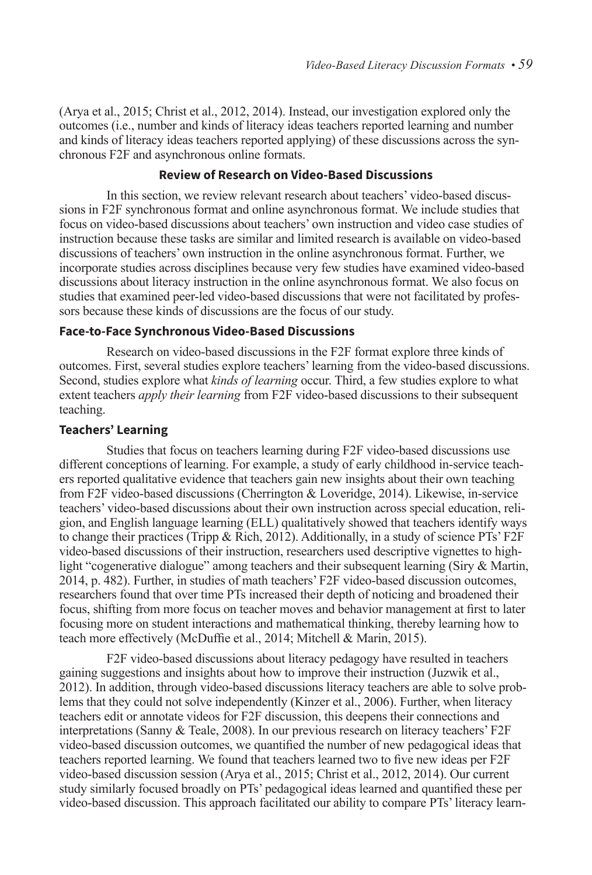(Arya et al., 2015; Christ et al., 2012, 2014). Instead, our investigation explored only the outcomes (i.e., number and kinds of literacy ideas teachers reported learning and number and kinds of literacy ideas teachers reported applying) of these discussions across the synchronous F2F and asynchronous online formats.

## **Review of Research on Video-Based Discussions**

In this section, we review relevant research about teachers' video-based discussions in F2F synchronous format and online asynchronous format. We include studies that focus on video-based discussions about teachers' own instruction and video case studies of instruction because these tasks are similar and limited research is available on video-based discussions of teachers' own instruction in the online asynchronous format. Further, we incorporate studies across disciplines because very few studies have examined video-based discussions about literacy instruction in the online asynchronous format. We also focus on studies that examined peer-led video-based discussions that were not facilitated by professors because these kinds of discussions are the focus of our study.

## **Face-to-Face Synchronous Video-Based Discussions**

Research on video-based discussions in the F2F format explore three kinds of outcomes. First, several studies explore teachers' learning from the video-based discussions. Second, studies explore what *kinds of learning* occur. Third, a few studies explore to what extent teachers *apply their learning* from F2F video-based discussions to their subsequent teaching.

## **Teachers' Learning**

Studies that focus on teachers learning during F2F video-based discussions use different conceptions of learning. For example, a study of early childhood in-service teachers reported qualitative evidence that teachers gain new insights about their own teaching from F2F video-based discussions (Cherrington & Loveridge, 2014). Likewise, in-service teachers' video-based discussions about their own instruction across special education, religion, and English language learning (ELL) qualitatively showed that teachers identify ways to change their practices (Tripp & Rich, 2012). Additionally, in a study of science PTs' F2F video-based discussions of their instruction, researchers used descriptive vignettes to highlight "cogenerative dialogue" among teachers and their subsequent learning (Siry & Martin, 2014, p. 482). Further, in studies of math teachers' F2F video-based discussion outcomes, researchers found that over time PTs increased their depth of noticing and broadened their focus, shifting from more focus on teacher moves and behavior management at first to later focusing more on student interactions and mathematical thinking, thereby learning how to teach more effectively (McDuffie et al., 2014; Mitchell & Marin, 2015).

F2F video-based discussions about literacy pedagogy have resulted in teachers gaining suggestions and insights about how to improve their instruction (Juzwik et al., 2012). In addition, through video-based discussions literacy teachers are able to solve problems that they could not solve independently (Kinzer et al., 2006). Further, when literacy teachers edit or annotate videos for F2F discussion, this deepens their connections and interpretations (Sanny & Teale, 2008). In our previous research on literacy teachers' F2F video-based discussion outcomes, we quantified the number of new pedagogical ideas that teachers reported learning. We found that teachers learned two to five new ideas per F2F video-based discussion session (Arya et al., 2015; Christ et al., 2012, 2014). Our current study similarly focused broadly on PTs' pedagogical ideas learned and quantified these per video-based discussion. This approach facilitated our ability to compare PTs' literacy learn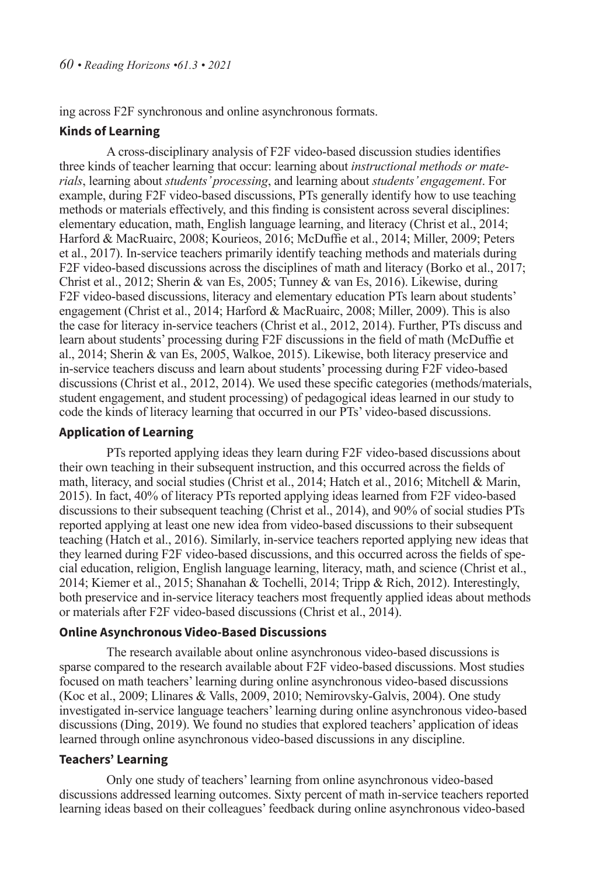ing across F2F synchronous and online asynchronous formats.

## **Kinds of Learning**

A cross-disciplinary analysis of F2F video-based discussion studies identifies three kinds of teacher learning that occur: learning about *instructional methods or materials*, learning about *students' processing*, and learning about *students' engagement*. For example, during F2F video-based discussions, PTs generally identify how to use teaching methods or materials effectively, and this finding is consistent across several disciplines: elementary education, math, English language learning, and literacy (Christ et al., 2014; Harford & MacRuairc, 2008; Kourieos, 2016; McDuffie et al., 2014; Miller, 2009; Peters et al., 2017). In-service teachers primarily identify teaching methods and materials during F2F video-based discussions across the disciplines of math and literacy (Borko et al., 2017; Christ et al., 2012; Sherin & van Es, 2005; Tunney & van Es, 2016). Likewise, during F2F video-based discussions, literacy and elementary education PTs learn about students' engagement (Christ et al., 2014; Harford & MacRuairc, 2008; Miller, 2009). This is also the case for literacy in-service teachers (Christ et al., 2012, 2014). Further, PTs discuss and learn about students' processing during F2F discussions in the field of math (McDuffie et al., 2014; Sherin & van Es, 2005, Walkoe, 2015). Likewise, both literacy preservice and in-service teachers discuss and learn about students' processing during F2F video-based discussions (Christ et al., 2012, 2014). We used these specific categories (methods/materials, student engagement, and student processing) of pedagogical ideas learned in our study to code the kinds of literacy learning that occurred in our PTs' video-based discussions.

## **Application of Learning**

PTs reported applying ideas they learn during F2F video-based discussions about their own teaching in their subsequent instruction, and this occurred across the fields of math, literacy, and social studies (Christ et al., 2014; Hatch et al., 2016; Mitchell & Marin, 2015). In fact, 40% of literacy PTs reported applying ideas learned from F2F video-based discussions to their subsequent teaching (Christ et al., 2014), and 90% of social studies PTs reported applying at least one new idea from video-based discussions to their subsequent teaching (Hatch et al., 2016). Similarly, in-service teachers reported applying new ideas that they learned during F2F video-based discussions, and this occurred across the fields of special education, religion, English language learning, literacy, math, and science (Christ et al., 2014; Kiemer et al., 2015; Shanahan & Tochelli, 2014; Tripp & Rich, 2012). Interestingly, both preservice and in-service literacy teachers most frequently applied ideas about methods or materials after F2F video-based discussions (Christ et al., 2014).

## **Online Asynchronous Video-Based Discussions**

The research available about online asynchronous video-based discussions is sparse compared to the research available about F2F video-based discussions. Most studies focused on math teachers' learning during online asynchronous video-based discussions (Koc et al., 2009; Llinares & Valls, 2009, 2010; Nemirovsky-Galvis, 2004). One study investigated in-service language teachers' learning during online asynchronous video-based discussions (Ding, 2019). We found no studies that explored teachers' application of ideas learned through online asynchronous video-based discussions in any discipline.

## **Teachers' Learning**

Only one study of teachers' learning from online asynchronous video-based discussions addressed learning outcomes. Sixty percent of math in-service teachers reported learning ideas based on their colleagues' feedback during online asynchronous video-based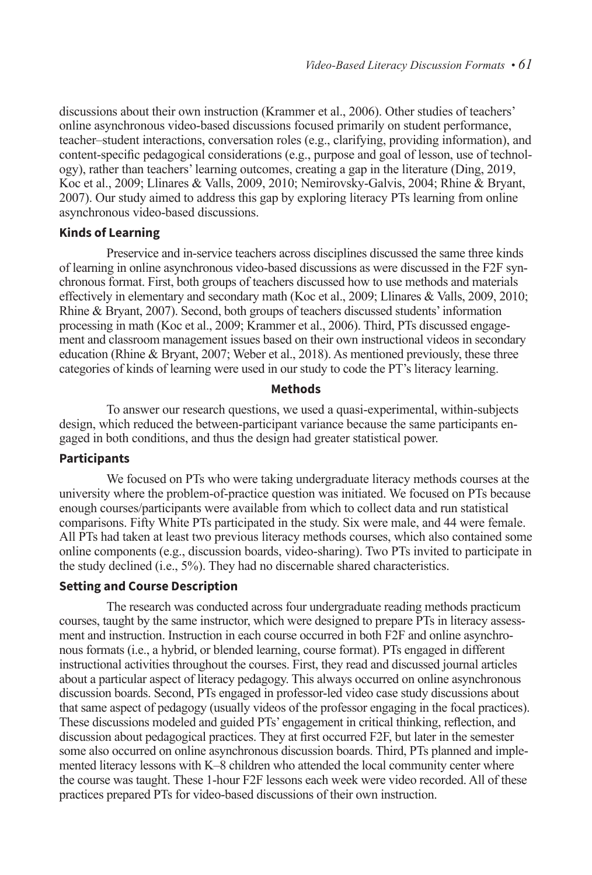discussions about their own instruction (Krammer et al., 2006). Other studies of teachers' online asynchronous video-based discussions focused primarily on student performance, teacher–student interactions, conversation roles (e.g., clarifying, providing information), and content-specific pedagogical considerations (e.g., purpose and goal of lesson, use of technology), rather than teachers' learning outcomes, creating a gap in the literature (Ding, 2019, Koc et al., 2009; Llinares & Valls, 2009, 2010; Nemirovsky-Galvis, 2004; Rhine & Bryant, 2007). Our study aimed to address this gap by exploring literacy PTs learning from online asynchronous video-based discussions.

#### **Kinds of Learning**

Preservice and in-service teachers across disciplines discussed the same three kinds of learning in online asynchronous video-based discussions as were discussed in the F2F synchronous format. First, both groups of teachers discussed how to use methods and materials effectively in elementary and secondary math (Koc et al., 2009; Llinares & Valls, 2009, 2010; Rhine & Bryant, 2007). Second, both groups of teachers discussed students' information processing in math (Koc et al., 2009; Krammer et al., 2006). Third, PTs discussed engagement and classroom management issues based on their own instructional videos in secondary education (Rhine & Bryant, 2007; Weber et al., 2018). As mentioned previously, these three categories of kinds of learning were used in our study to code the PT's literacy learning.

#### **Methods**

To answer our research questions, we used a quasi-experimental, within-subjects design, which reduced the between-participant variance because the same participants engaged in both conditions, and thus the design had greater statistical power.

#### **Participants**

We focused on PTs who were taking undergraduate literacy methods courses at the university where the problem-of-practice question was initiated. We focused on PTs because enough courses/participants were available from which to collect data and run statistical comparisons. Fifty White PTs participated in the study. Six were male, and 44 were female. All PTs had taken at least two previous literacy methods courses, which also contained some online components (e.g., discussion boards, video-sharing). Two PTs invited to participate in the study declined (i.e., 5%). They had no discernable shared characteristics.

## **Setting and Course Description**

The research was conducted across four undergraduate reading methods practicum courses, taught by the same instructor, which were designed to prepare PTs in literacy assessment and instruction. Instruction in each course occurred in both F2F and online asynchronous formats (i.e., a hybrid, or blended learning, course format). PTs engaged in different instructional activities throughout the courses. First, they read and discussed journal articles about a particular aspect of literacy pedagogy. This always occurred on online asynchronous discussion boards. Second, PTs engaged in professor-led video case study discussions about that same aspect of pedagogy (usually videos of the professor engaging in the focal practices). These discussions modeled and guided PTs' engagement in critical thinking, reflection, and discussion about pedagogical practices. They at first occurred F2F, but later in the semester some also occurred on online asynchronous discussion boards. Third, PTs planned and implemented literacy lessons with K–8 children who attended the local community center where the course was taught. These 1-hour F2F lessons each week were video recorded. All of these practices prepared PTs for video-based discussions of their own instruction.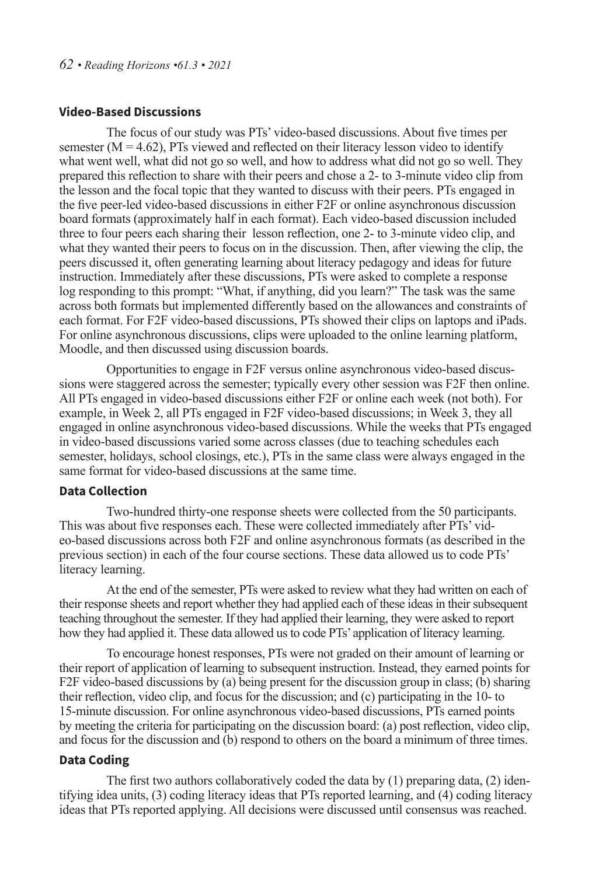## **Video-Based Discussions**

The focus of our study was PTs' video-based discussions. About five times per semester  $(M = 4.62)$ , PTs viewed and reflected on their literacy lesson video to identify what went well, what did not go so well, and how to address what did not go so well. They prepared this reflection to share with their peers and chose a 2- to 3-minute video clip from the lesson and the focal topic that they wanted to discuss with their peers. PTs engaged in the five peer-led video-based discussions in either F2F or online asynchronous discussion board formats (approximately half in each format). Each video-based discussion included three to four peers each sharing their lesson reflection, one 2- to 3-minute video clip, and what they wanted their peers to focus on in the discussion. Then, after viewing the clip, the peers discussed it, often generating learning about literacy pedagogy and ideas for future instruction. Immediately after these discussions, PTs were asked to complete a response log responding to this prompt: "What, if anything, did you learn?" The task was the same across both formats but implemented differently based on the allowances and constraints of each format. For F2F video-based discussions, PTs showed their clips on laptops and iPads. For online asynchronous discussions, clips were uploaded to the online learning platform, Moodle, and then discussed using discussion boards.

Opportunities to engage in F2F versus online asynchronous video-based discussions were staggered across the semester; typically every other session was F2F then online. All PTs engaged in video-based discussions either F2F or online each week (not both). For example, in Week 2, all PTs engaged in F2F video-based discussions; in Week 3, they all engaged in online asynchronous video-based discussions. While the weeks that PTs engaged in video-based discussions varied some across classes (due to teaching schedules each semester, holidays, school closings, etc.), PTs in the same class were always engaged in the same format for video-based discussions at the same time.

### **Data Collection**

Two-hundred thirty-one response sheets were collected from the 50 participants. This was about five responses each. These were collected immediately after PTs' video-based discussions across both F2F and online asynchronous formats (as described in the previous section) in each of the four course sections. These data allowed us to code PTs' literacy learning.

At the end of the semester, PTs were asked to review what they had written on each of their response sheets and report whether they had applied each of these ideas in their subsequent teaching throughout the semester. If they had applied their learning, they were asked to report how they had applied it. These data allowed us to code PTs' application of literacy learning.

To encourage honest responses, PTs were not graded on their amount of learning or their report of application of learning to subsequent instruction. Instead, they earned points for F2F video-based discussions by (a) being present for the discussion group in class; (b) sharing their reflection, video clip, and focus for the discussion; and (c) participating in the 10- to 15-minute discussion. For online asynchronous video-based discussions, PTs earned points by meeting the criteria for participating on the discussion board: (a) post reflection, video clip, and focus for the discussion and (b) respond to others on the board a minimum of three times.

## **Data Coding**

The first two authors collaboratively coded the data by  $(1)$  preparing data,  $(2)$  identifying idea units, (3) coding literacy ideas that PTs reported learning, and (4) coding literacy ideas that PTs reported applying. All decisions were discussed until consensus was reached.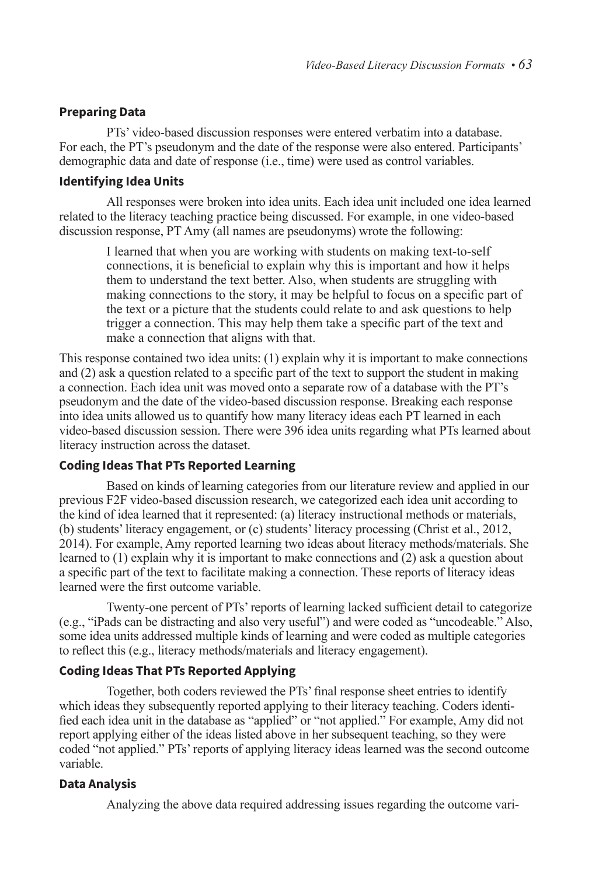## **Preparing Data**

PTs' video-based discussion responses were entered verbatim into a database. For each, the PT's pseudonym and the date of the response were also entered. Participants' demographic data and date of response (i.e., time) were used as control variables.

## **Identifying Idea Units**

All responses were broken into idea units. Each idea unit included one idea learned related to the literacy teaching practice being discussed. For example, in one video-based discussion response, PT Amy (all names are pseudonyms) wrote the following:

I learned that when you are working with students on making text-to-self connections, it is beneficial to explain why this is important and how it helps them to understand the text better. Also, when students are struggling with making connections to the story, it may be helpful to focus on a specific part of the text or a picture that the students could relate to and ask questions to help trigger a connection. This may help them take a specific part of the text and make a connection that aligns with that.

This response contained two idea units: (1) explain why it is important to make connections and (2) ask a question related to a specific part of the text to support the student in making a connection. Each idea unit was moved onto a separate row of a database with the PT's pseudonym and the date of the video-based discussion response. Breaking each response into idea units allowed us to quantify how many literacy ideas each PT learned in each video-based discussion session. There were 396 idea units regarding what PTs learned about literacy instruction across the dataset.

## **Coding Ideas That PTs Reported Learning**

Based on kinds of learning categories from our literature review and applied in our previous F2F video-based discussion research, we categorized each idea unit according to the kind of idea learned that it represented: (a) literacy instructional methods or materials, (b) students' literacy engagement, or (c) students' literacy processing (Christ et al., 2012, 2014). For example, Amy reported learning two ideas about literacy methods/materials. She learned to (1) explain why it is important to make connections and (2) ask a question about a specific part of the text to facilitate making a connection. These reports of literacy ideas learned were the first outcome variable.

Twenty-one percent of PTs' reports of learning lacked sufficient detail to categorize (e.g., "iPads can be distracting and also very useful") and were coded as "uncodeable." Also, some idea units addressed multiple kinds of learning and were coded as multiple categories to reflect this (e.g., literacy methods/materials and literacy engagement).

## **Coding Ideas That PTs Reported Applying**

Together, both coders reviewed the PTs' final response sheet entries to identify which ideas they subsequently reported applying to their literacy teaching. Coders identified each idea unit in the database as "applied" or "not applied." For example, Amy did not report applying either of the ideas listed above in her subsequent teaching, so they were coded "not applied." PTs' reports of applying literacy ideas learned was the second outcome variable.

## **Data Analysis**

Analyzing the above data required addressing issues regarding the outcome vari-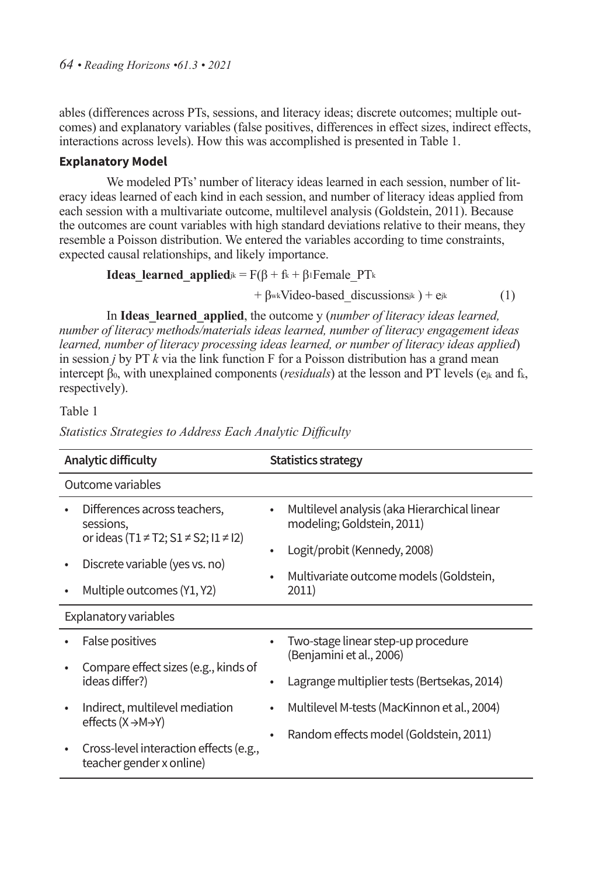ables (differences across PTs, sessions, and literacy ideas; discrete outcomes; multiple outcomes) and explanatory variables (false positives, differences in effect sizes, indirect effects, interactions across levels). How this was accomplished is presented in Table 1.

## **Explanatory Model**

We modeled PTs' number of literacy ideas learned in each session, number of literacy ideas learned of each kind in each session, and number of literacy ideas applied from each session with a multivariate outcome, multilevel analysis (Goldstein, 2011). Because the outcomes are count variables with high standard deviations relative to their means, they resemble a Poisson distribution. We entered the variables according to time constraints, expected causal relationships, and likely importance.

**Ideas\\_learned\\_applied**<sub>jk</sub> = 
$$
F(\beta + f_k + \beta_i
$$
Female<sub>\_P</sub>T<sub>k</sub>

 $+ \beta_{wk}$ Video-based discussions<sub>jk</sub> ) + e<sub>jk</sub> (1)

In **Ideas\_learned\_applied**, the outcome y (*number of literacy ideas learned, number of literacy methods/materials ideas learned, number of literacy engagement ideas learned, number of literacy processing ideas learned, or number of literacy ideas applied*) in session *j* by PT *k* via the link function F for a Poisson distribution has a grand mean intercept  $\beta_0$ , with unexplained components (*residuals*) at the lesson and PT levels ( $e_{ik}$  and  $f_k$ , respectively).

Table 1

**Analytic difficulty Statistics strategy** Outcome variables • Differences across teachers, sessions, or ideas (T1 ≠ T2; S1 ≠ S2; I1 ≠ I2) • Discrete variable (yes vs. no) • Multiple outcomes (Y1, Y2) • Multilevel analysis (aka Hierarchical linear modeling; Goldstein, 2011) • Logit/probit (Kennedy, 2008) • Multivariate outcome models (Goldstein, 2011) Explanatory variables • False positives • Compare effect sizes (e.g., kinds of ideas differ?) • Indirect, multilevel mediation effects (X →M→Y) • Two-stage linear step-up procedure (Benjamini et al., 2006) • Lagrange multiplier tests (Bertsekas, 2014) • Multilevel M-tests (MacKinnon et al., 2004) • Random effects model (Goldstein, 2011)

*Statistics Strategies to Address Each Analytic Difficulty*

• Cross-level interaction effects (e.g., teacher gender x online)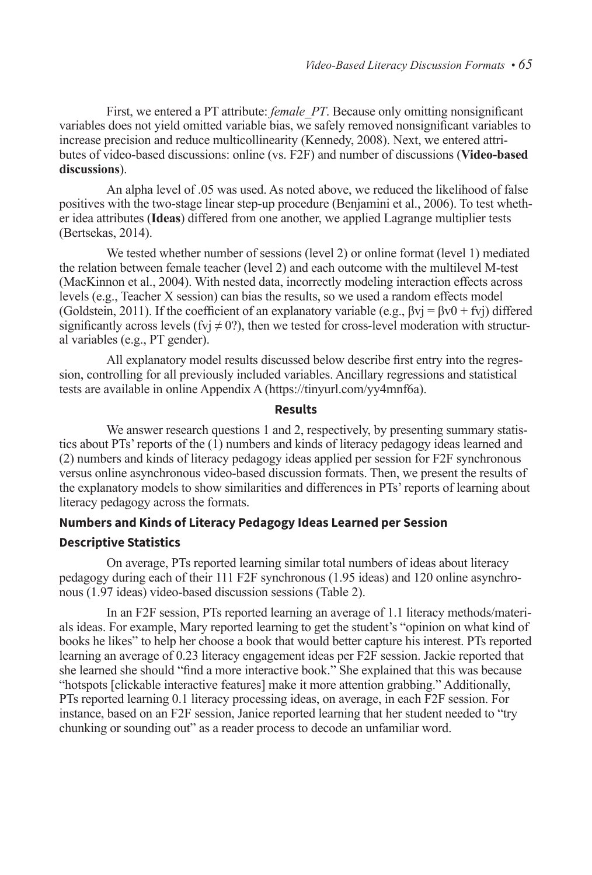First, we entered a PT attribute: *female PT*. Because only omitting nonsignificant variables does not yield omitted variable bias, we safely removed nonsignificant variables to increase precision and reduce multicollinearity (Kennedy, 2008). Next, we entered attributes of video-based discussions: online (vs. F2F) and number of discussions (**Video-based discussions**).

An alpha level of .05 was used. As noted above, we reduced the likelihood of false positives with the two-stage linear step-up procedure (Benjamini et al., 2006). To test whether idea attributes (**Ideas**) differed from one another, we applied Lagrange multiplier tests (Bertsekas, 2014).

We tested whether number of sessions (level 2) or online format (level 1) mediated the relation between female teacher (level 2) and each outcome with the multilevel M-test (MacKinnon et al., 2004). With nested data, incorrectly modeling interaction effects across levels (e.g., Teacher X session) can bias the results, so we used a random effects model (Goldstein, 2011). If the coefficient of an explanatory variable (e.g.,  $\beta vj = \beta v(0 + fvj)$  differed significantly across levels (fyj  $\neq$  0?), then we tested for cross-level moderation with structural variables (e.g., PT gender).

All explanatory model results discussed below describe first entry into the regression, controlling for all previously included variables. Ancillary regressions and statistical tests are available in online Appendix A (https://tinyurl.com/yy4mnf6a).

## **Results**

We answer research questions 1 and 2, respectively, by presenting summary statistics about PTs' reports of the (1) numbers and kinds of literacy pedagogy ideas learned and (2) numbers and kinds of literacy pedagogy ideas applied per session for F2F synchronous versus online asynchronous video-based discussion formats. Then, we present the results of the explanatory models to show similarities and differences in PTs' reports of learning about literacy pedagogy across the formats.

## **Numbers and Kinds of Literacy Pedagogy Ideas Learned per Session**

## **Descriptive Statistics**

On average, PTs reported learning similar total numbers of ideas about literacy pedagogy during each of their 111 F2F synchronous (1.95 ideas) and 120 online asynchronous (1.97 ideas) video-based discussion sessions (Table 2).

In an F2F session, PTs reported learning an average of 1.1 literacy methods/materials ideas. For example, Mary reported learning to get the student's "opinion on what kind of books he likes" to help her choose a book that would better capture his interest. PTs reported learning an average of 0.23 literacy engagement ideas per F2F session. Jackie reported that she learned she should "find a more interactive book." She explained that this was because "hotspots [clickable interactive features] make it more attention grabbing." Additionally, PTs reported learning 0.1 literacy processing ideas, on average, in each F2F session. For instance, based on an F2F session, Janice reported learning that her student needed to "try chunking or sounding out" as a reader process to decode an unfamiliar word.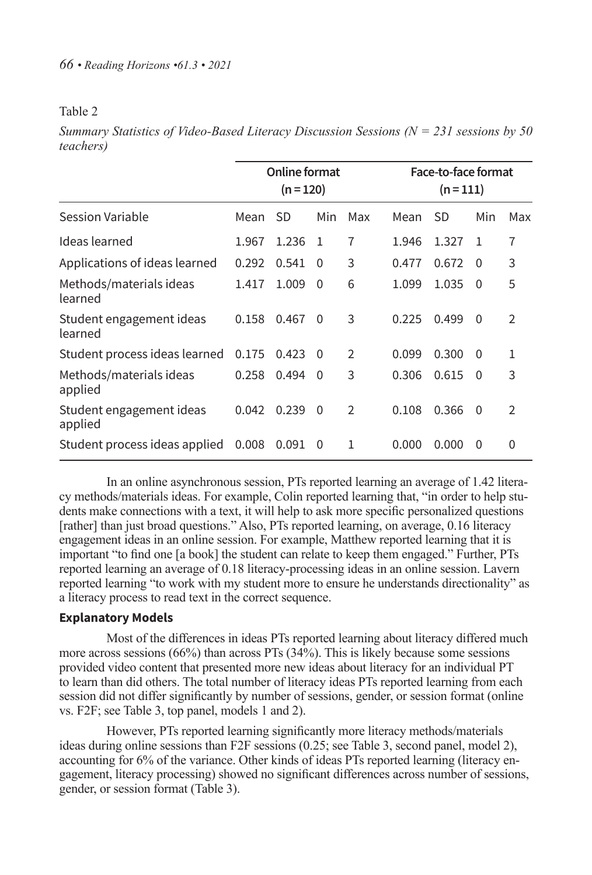## Table 2

*Summary Statistics of Video-Based Literacy Discussion Sessions (N = 231 sessions by 50 teachers)*

|                                     |       | <b>Online format</b><br>$(n = 120)$ |              |               |       | Face-to-face format<br>$(n=111)$ |          |                |
|-------------------------------------|-------|-------------------------------------|--------------|---------------|-------|----------------------------------|----------|----------------|
| Session Variable                    | Mean  | SD                                  | Min          | Max           | Mean  | SD                               | Min      | Max            |
| Ideas learned                       | 1.967 | 1.236                               | $\mathbf{1}$ | 7             | 1.946 | 1.327                            | -1       | 7              |
| Applications of ideas learned       | 0.292 | 0.541                               | $\Omega$     | 3             | 0.477 | 0.672                            | 0        | 3              |
| Methods/materials ideas<br>learned  | 1.417 | 1.009                               | 0            | 6             | 1.099 | 1.035                            | $\Omega$ | 5              |
| Student engagement ideas<br>learned | 0.158 | 0.467                               | 0            | 3             | 0.225 | 0.499                            | $\Omega$ | $\overline{2}$ |
| Student process ideas learned       | 0.175 | 0.423                               | - 0          | $\mathcal{P}$ | 0.099 | 0.300                            | $\Omega$ | 1              |
| Methods/materials ideas<br>applied  | 0.258 | 0.494                               | $\Omega$     | 3             | 0.306 | 0.615                            | - 0      | 3              |
| Student engagement ideas<br>applied | 0.042 | 0.239                               | $\Omega$     | $\mathcal{P}$ | 0.108 | 0.366                            | $\Omega$ | $\mathfrak{D}$ |
| Student process ideas applied       | 0.008 | 0.091                               | 0            | 1             | 0.000 | 0.000                            | $\Omega$ | $\Omega$       |

In an online asynchronous session, PTs reported learning an average of 1.42 literacy methods/materials ideas. For example, Colin reported learning that, "in order to help students make connections with a text, it will help to ask more specific personalized questions [rather] than just broad questions." Also, PTs reported learning, on average, 0.16 literacy engagement ideas in an online session. For example, Matthew reported learning that it is important "to find one [a book] the student can relate to keep them engaged." Further, PTs reported learning an average of 0.18 literacy-processing ideas in an online session. Lavern reported learning "to work with my student more to ensure he understands directionality" as a literacy process to read text in the correct sequence.

## **Explanatory Models**

Most of the differences in ideas PTs reported learning about literacy differed much more across sessions (66%) than across PTs (34%). This is likely because some sessions provided video content that presented more new ideas about literacy for an individual PT to learn than did others. The total number of literacy ideas PTs reported learning from each session did not differ significantly by number of sessions, gender, or session format (online vs. F2F; see Table 3, top panel, models 1 and 2).

However, PTs reported learning significantly more literacy methods/materials ideas during online sessions than F2F sessions (0.25; see Table 3, second panel, model 2), accounting for 6% of the variance. Other kinds of ideas PTs reported learning (literacy engagement, literacy processing) showed no significant differences across number of sessions, gender, or session format (Table 3).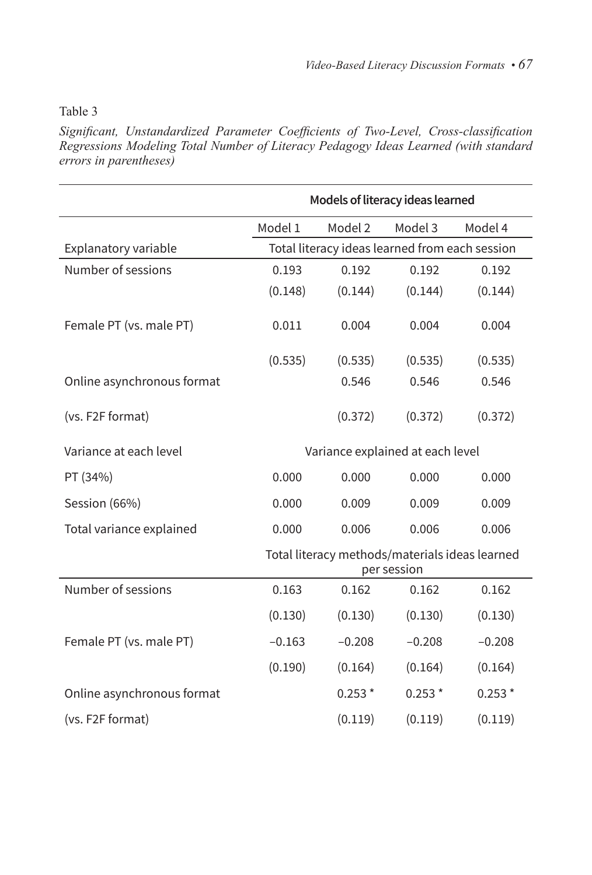## Table 3

*Significant, Unstandardized Parameter Coefficients of Two-Level, Cross-classification Regressions Modeling Total Number of Literacy Pedagogy Ideas Learned (with standard errors in parentheses)*

|                            | Models of literacy ideas learned                              |          |          |          |  |
|----------------------------|---------------------------------------------------------------|----------|----------|----------|--|
|                            | Model 1                                                       | Model 2  | Model 3  | Model 4  |  |
| Explanatory variable       | Total literacy ideas learned from each session                |          |          |          |  |
| Number of sessions         | 0.193                                                         | 0.192    | 0.192    | 0.192    |  |
|                            | (0.148)                                                       | (0.144)  | (0.144)  | (0.144)  |  |
| Female PT (vs. male PT)    | 0.011                                                         | 0.004    | 0.004    | 0.004    |  |
|                            | (0.535)                                                       | (0.535)  | (0.535)  | (0.535)  |  |
| Online asynchronous format |                                                               | 0.546    | 0.546    | 0.546    |  |
| (vs. F2F format)           |                                                               | (0.372)  | (0.372)  | (0.372)  |  |
| Variance at each level     | Variance explained at each level                              |          |          |          |  |
| PT (34%)                   | 0.000                                                         | 0.000    | 0.000    | 0.000    |  |
| Session (66%)              | 0.000                                                         | 0.009    | 0.009    | 0.009    |  |
| Total variance explained   | 0.000                                                         | 0.006    | 0.006    | 0.006    |  |
|                            | Total literacy methods/materials ideas learned<br>per session |          |          |          |  |
| Number of sessions         | 0.163                                                         | 0.162    | 0.162    | 0.162    |  |
|                            | (0.130)                                                       | (0.130)  | (0.130)  | (0.130)  |  |
| Female PT (vs. male PT)    | $-0.163$                                                      | $-0.208$ | $-0.208$ | $-0.208$ |  |
|                            | (0.190)                                                       | (0.164)  | (0.164)  | (0.164)  |  |
| Online asynchronous format |                                                               | $0.253*$ | $0.253*$ | $0.253*$ |  |
| (vs. F2F format)           |                                                               | (0.119)  | (0.119)  | (0.119)  |  |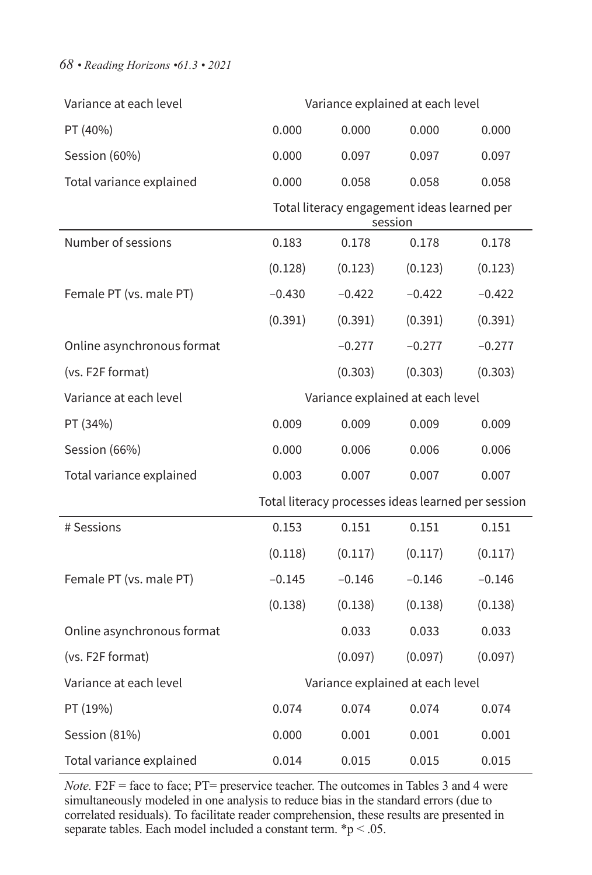## *68 • Reading Horizons •61.3 • 2021*

| Variance at each level     |                                                    |          | Variance explained at each level                       |          |  |
|----------------------------|----------------------------------------------------|----------|--------------------------------------------------------|----------|--|
| PT (40%)                   | 0.000                                              | 0.000    | 0.000                                                  | 0.000    |  |
| Session (60%)              | 0.000                                              | 0.097    | 0.097                                                  | 0.097    |  |
| Total variance explained   | 0.000                                              | 0.058    | 0.058                                                  | 0.058    |  |
|                            |                                                    |          | Total literacy engagement ideas learned per<br>session |          |  |
| Number of sessions         | 0.183                                              | 0.178    | 0.178                                                  | 0.178    |  |
|                            | (0.128)                                            | (0.123)  | (0.123)                                                | (0.123)  |  |
| Female PT (vs. male PT)    | $-0.430$                                           | $-0.422$ | $-0.422$                                               | $-0.422$ |  |
|                            | (0.391)                                            | (0.391)  | (0.391)                                                | (0.391)  |  |
| Online asynchronous format |                                                    | $-0.277$ | $-0.277$                                               | $-0.277$ |  |
| (vs. F2F format)           |                                                    | (0.303)  | (0.303)                                                | (0.303)  |  |
| Variance at each level     |                                                    |          | Variance explained at each level                       |          |  |
| PT (34%)                   | 0.009                                              | 0.009    | 0.009                                                  | 0.009    |  |
| Session (66%)              | 0.000                                              | 0.006    | 0.006                                                  | 0.006    |  |
| Total variance explained   | 0.003                                              | 0.007    | 0.007                                                  | 0.007    |  |
|                            | Total literacy processes ideas learned per session |          |                                                        |          |  |
| # Sessions                 | 0.153                                              | 0.151    | 0.151                                                  | 0.151    |  |
|                            | (0.118)                                            | (0.117)  | (0.117)                                                | (0.117)  |  |
| Female PT (vs. male PT)    | $-0.145$                                           | $-0.146$ | $-0.146$                                               | $-0.146$ |  |
|                            | (0.138)                                            | (0.138)  | (0.138)                                                | (0.138)  |  |
| Online asynchronous format |                                                    | 0.033    | 0.033                                                  | 0.033    |  |
| (vs. F2F format)           |                                                    | (0.097)  | (0.097)                                                | (0.097)  |  |
| Variance at each level     | Variance explained at each level                   |          |                                                        |          |  |
| PT (19%)                   | 0.074                                              | 0.074    | 0.074                                                  | 0.074    |  |
|                            |                                                    |          |                                                        |          |  |
| Session (81%)              | 0.000                                              | 0.001    | 0.001                                                  | 0.001    |  |

*Note.* F2F = face to face; PT= preservice teacher. The outcomes in Tables 3 and 4 were simultaneously modeled in one analysis to reduce bias in the standard errors (due to correlated residuals). To facilitate reader comprehension, these results are presented in separate tables. Each model included a constant term.  $\boldsymbol{\varepsilon}$  p < .05.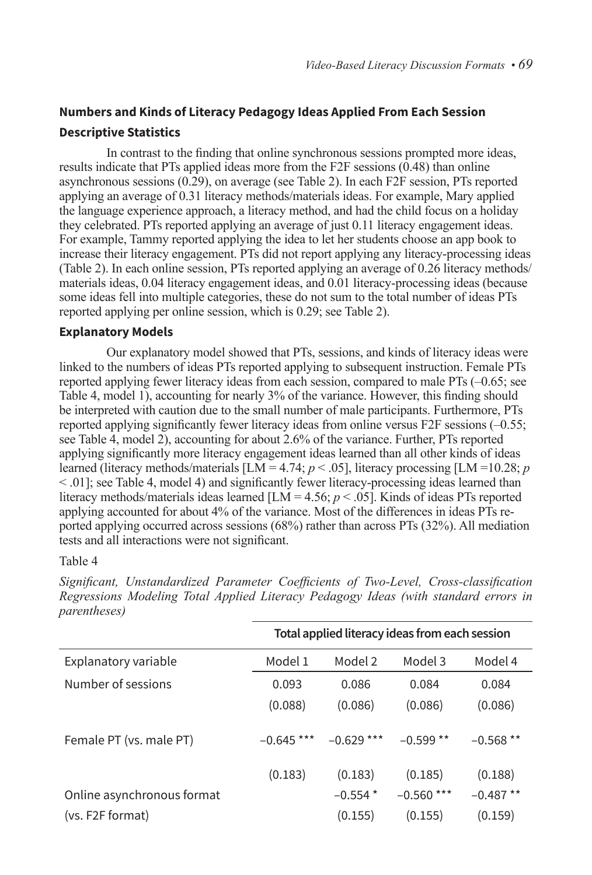# **Numbers and Kinds of Literacy Pedagogy Ideas Applied From Each Session Descriptive Statistics**

In contrast to the finding that online synchronous sessions prompted more ideas, results indicate that PTs applied ideas more from the F2F sessions (0.48) than online asynchronous sessions (0.29), on average (see Table 2). In each F2F session, PTs reported applying an average of 0.31 literacy methods/materials ideas. For example, Mary applied the language experience approach, a literacy method, and had the child focus on a holiday they celebrated. PTs reported applying an average of just 0.11 literacy engagement ideas. For example, Tammy reported applying the idea to let her students choose an app book to increase their literacy engagement. PTs did not report applying any literacy-processing ideas (Table 2). In each online session, PTs reported applying an average of 0.26 literacy methods/ materials ideas, 0.04 literacy engagement ideas, and 0.01 literacy-processing ideas (because some ideas fell into multiple categories, these do not sum to the total number of ideas PTs reported applying per online session, which is 0.29; see Table 2).

## **Explanatory Models**

Our explanatory model showed that PTs, sessions, and kinds of literacy ideas were linked to the numbers of ideas PTs reported applying to subsequent instruction. Female PTs reported applying fewer literacy ideas from each session, compared to male PTs (–0.65; see Table 4, model 1), accounting for nearly 3% of the variance. However, this finding should be interpreted with caution due to the small number of male participants. Furthermore, PTs reported applying significantly fewer literacy ideas from online versus F2F sessions (–0.55; see Table 4, model 2), accounting for about 2.6% of the variance. Further, PTs reported applying significantly more literacy engagement ideas learned than all other kinds of ideas learned (literacy methods/materials [LM = 4.74; *p* < .05], literacy processing [LM =10.28; *p* < .01]; see Table 4, model 4) and significantly fewer literacy-processing ideas learned than literacy methods/materials ideas learned  $[LM = 4.56; p < .05]$ . Kinds of ideas PTs reported applying accounted for about 4% of the variance. Most of the differences in ideas PTs reported applying occurred across sessions (68%) rather than across PTs (32%). All mediation tests and all interactions were not significant.

#### Table 4

|                            |              |              | Total applied literacy ideas from each session |            |
|----------------------------|--------------|--------------|------------------------------------------------|------------|
| Explanatory variable       | Model 1      | Model 2      | Model 3                                        | Model 4    |
| Number of sessions         | 0.093        | 0.086        | 0.084                                          | 0.084      |
|                            | (0.088)      | (0.086)      | (0.086)                                        | (0.086)    |
| Female PT (vs. male PT)    | $-0.645$ *** | $-0.629$ *** | $-0.599**$                                     | $-0.568**$ |
|                            | (0.183)      | (0.183)      | (0.185)                                        | (0.188)    |
| Online asynchronous format |              | $-0.554*$    | $-0.560$ ***                                   | $-0.487**$ |
| (vs. F2F format)           |              | (0.155)      | (0.155)                                        | (0.159)    |

*Significant, Unstandardized Parameter Coefficients of Two-Level, Cross-classification Regressions Modeling Total Applied Literacy Pedagogy Ideas (with standard errors in parentheses)*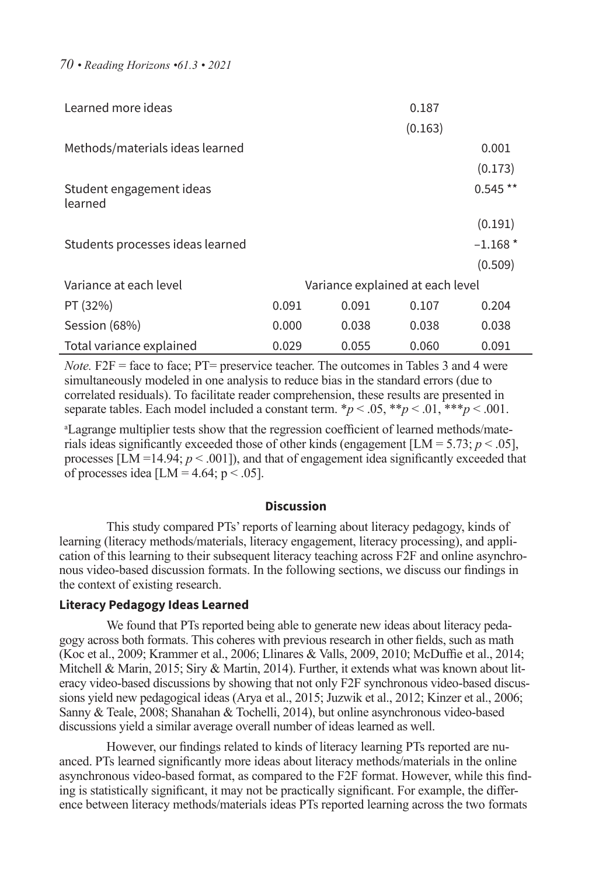*70 • Reading Horizons •61.3 • 2021*

| Learned more ideas                  |                                  |       | 0.187   |           |
|-------------------------------------|----------------------------------|-------|---------|-----------|
|                                     |                                  |       | (0.163) |           |
| Methods/materials ideas learned     |                                  |       |         | 0.001     |
|                                     |                                  |       |         | (0.173)   |
| Student engagement ideas<br>learned |                                  |       |         | $0.545**$ |
|                                     |                                  |       |         | (0.191)   |
| Students processes ideas learned    |                                  |       |         | $-1.168*$ |
|                                     |                                  |       |         | (0.509)   |
| Variance at each level              | Variance explained at each level |       |         |           |
| PT (32%)                            | 0.091                            | 0.091 | 0.107   | 0.204     |
| Session (68%)                       | 0.000                            | 0.038 | 0.038   | 0.038     |
| Total variance explained            | 0.029                            | 0.055 | 0.060   | 0.091     |

*Note.* F2F = face to face; PT= preservice teacher. The outcomes in Tables 3 and 4 were simultaneously modeled in one analysis to reduce bias in the standard errors (due to correlated residuals). To facilitate reader comprehension, these results are presented in separate tables. Each model included a constant term.  $\frac{*p}{<}$ .05,  $\frac{*p}{<}$ .01,  $\frac{**p}{<}$ .001.

<sup>a</sup>Lagrange multiplier tests show that the regression coefficient of learned methods/materials ideas significantly exceeded those of other kinds (engagement  $[LM = 5.73; p < .05]$ , processes [LM =14.94;  $p < .001$ ]), and that of engagement idea significantly exceeded that of processes idea [LM =  $4.64$ ; p < .05].

#### **Discussion**

This study compared PTs' reports of learning about literacy pedagogy, kinds of learning (literacy methods/materials, literacy engagement, literacy processing), and application of this learning to their subsequent literacy teaching across F2F and online asynchronous video-based discussion formats. In the following sections, we discuss our findings in the context of existing research.

#### **Literacy Pedagogy Ideas Learned**

We found that PTs reported being able to generate new ideas about literacy pedagogy across both formats. This coheres with previous research in other fields, such as math (Koc et al., 2009; Krammer et al., 2006; Llinares & Valls, 2009, 2010; McDuffie et al., 2014; Mitchell & Marin, 2015; Siry & Martin, 2014). Further, it extends what was known about literacy video-based discussions by showing that not only F2F synchronous video-based discussions yield new pedagogical ideas (Arya et al., 2015; Juzwik et al., 2012; Kinzer et al., 2006; Sanny & Teale, 2008; Shanahan & Tochelli, 2014), but online asynchronous video-based discussions yield a similar average overall number of ideas learned as well.

However, our findings related to kinds of literacy learning PTs reported are nuanced. PTs learned significantly more ideas about literacy methods/materials in the online asynchronous video-based format, as compared to the F2F format. However, while this finding is statistically significant, it may not be practically significant. For example, the difference between literacy methods/materials ideas PTs reported learning across the two formats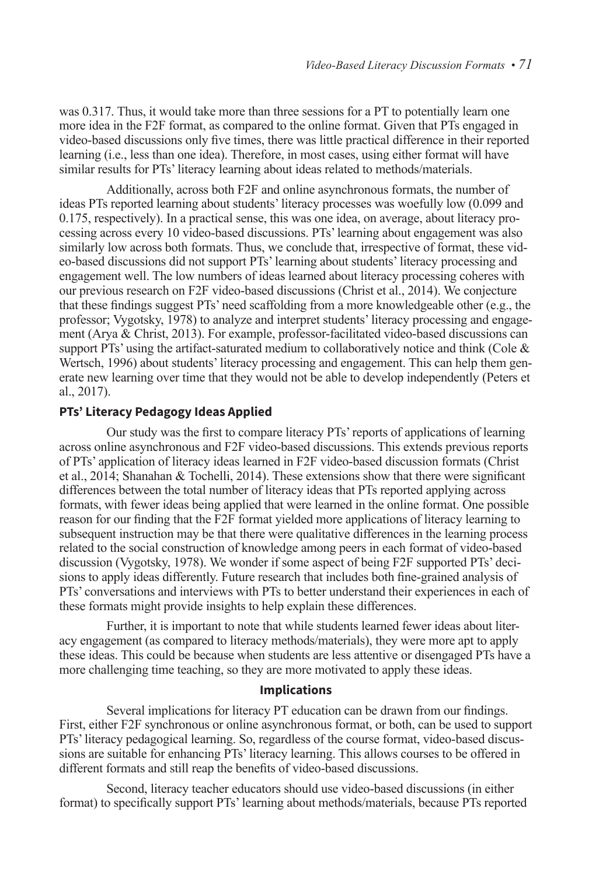was 0.317. Thus, it would take more than three sessions for a PT to potentially learn one more idea in the F2F format, as compared to the online format. Given that PTs engaged in video-based discussions only five times, there was little practical difference in their reported learning (i.e., less than one idea). Therefore, in most cases, using either format will have similar results for PTs' literacy learning about ideas related to methods/materials.

Additionally, across both F2F and online asynchronous formats, the number of ideas PTs reported learning about students' literacy processes was woefully low (0.099 and 0.175, respectively). In a practical sense, this was one idea, on average, about literacy processing across every 10 video-based discussions. PTs' learning about engagement was also similarly low across both formats. Thus, we conclude that, irrespective of format, these video-based discussions did not support PTs' learning about students' literacy processing and engagement well. The low numbers of ideas learned about literacy processing coheres with our previous research on F2F video-based discussions (Christ et al., 2014). We conjecture that these findings suggest PTs' need scaffolding from a more knowledgeable other (e.g., the professor; Vygotsky, 1978) to analyze and interpret students' literacy processing and engagement (Arya & Christ, 2013). For example, professor-facilitated video-based discussions can support PTs' using the artifact-saturated medium to collaboratively notice and think (Cole  $\&$ Wertsch, 1996) about students' literacy processing and engagement. This can help them generate new learning over time that they would not be able to develop independently (Peters et al., 2017).

## **PTs' Literacy Pedagogy Ideas Applied**

Our study was the first to compare literacy PTs' reports of applications of learning across online asynchronous and F2F video-based discussions. This extends previous reports of PTs' application of literacy ideas learned in F2F video-based discussion formats (Christ et al., 2014; Shanahan & Tochelli, 2014). These extensions show that there were significant differences between the total number of literacy ideas that PTs reported applying across formats, with fewer ideas being applied that were learned in the online format. One possible reason for our finding that the F2F format yielded more applications of literacy learning to subsequent instruction may be that there were qualitative differences in the learning process related to the social construction of knowledge among peers in each format of video-based discussion (Vygotsky, 1978). We wonder if some aspect of being F2F supported PTs' decisions to apply ideas differently. Future research that includes both fine-grained analysis of PTs' conversations and interviews with PTs to better understand their experiences in each of these formats might provide insights to help explain these differences.

Further, it is important to note that while students learned fewer ideas about literacy engagement (as compared to literacy methods/materials), they were more apt to apply these ideas. This could be because when students are less attentive or disengaged PTs have a more challenging time teaching, so they are more motivated to apply these ideas.

## **Implications**

Several implications for literacy PT education can be drawn from our findings. First, either F2F synchronous or online asynchronous format, or both, can be used to support PTs' literacy pedagogical learning. So, regardless of the course format, video-based discussions are suitable for enhancing PTs' literacy learning. This allows courses to be offered in different formats and still reap the benefits of video-based discussions.

Second, literacy teacher educators should use video-based discussions (in either format) to specifically support PTs' learning about methods/materials, because PTs reported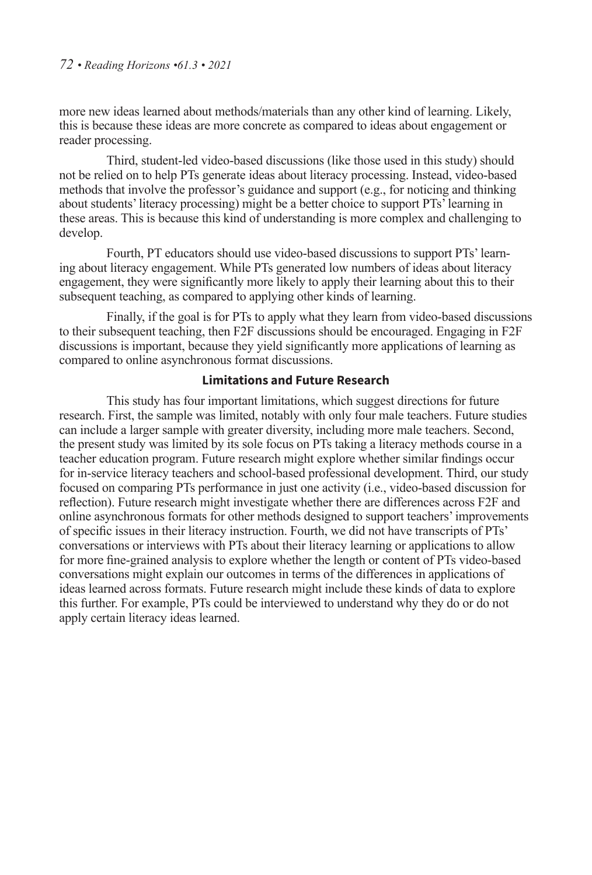more new ideas learned about methods/materials than any other kind of learning. Likely, this is because these ideas are more concrete as compared to ideas about engagement or reader processing.

Third, student-led video-based discussions (like those used in this study) should not be relied on to help PTs generate ideas about literacy processing. Instead, video-based methods that involve the professor's guidance and support (e.g., for noticing and thinking about students' literacy processing) might be a better choice to support PTs' learning in these areas. This is because this kind of understanding is more complex and challenging to develop.

Fourth, PT educators should use video-based discussions to support PTs' learning about literacy engagement. While PTs generated low numbers of ideas about literacy engagement, they were significantly more likely to apply their learning about this to their subsequent teaching, as compared to applying other kinds of learning.

Finally, if the goal is for PTs to apply what they learn from video-based discussions to their subsequent teaching, then F2F discussions should be encouraged. Engaging in F2F discussions is important, because they yield significantly more applications of learning as compared to online asynchronous format discussions.

## **Limitations and Future Research**

This study has four important limitations, which suggest directions for future research. First, the sample was limited, notably with only four male teachers. Future studies can include a larger sample with greater diversity, including more male teachers. Second, the present study was limited by its sole focus on PTs taking a literacy methods course in a teacher education program. Future research might explore whether similar findings occur for in-service literacy teachers and school-based professional development. Third, our study focused on comparing PTs performance in just one activity (i.e., video-based discussion for reflection). Future research might investigate whether there are differences across F2F and online asynchronous formats for other methods designed to support teachers' improvements of specific issues in their literacy instruction. Fourth, we did not have transcripts of PTs' conversations or interviews with PTs about their literacy learning or applications to allow for more fine-grained analysis to explore whether the length or content of PTs video-based conversations might explain our outcomes in terms of the differences in applications of ideas learned across formats. Future research might include these kinds of data to explore this further. For example, PTs could be interviewed to understand why they do or do not apply certain literacy ideas learned.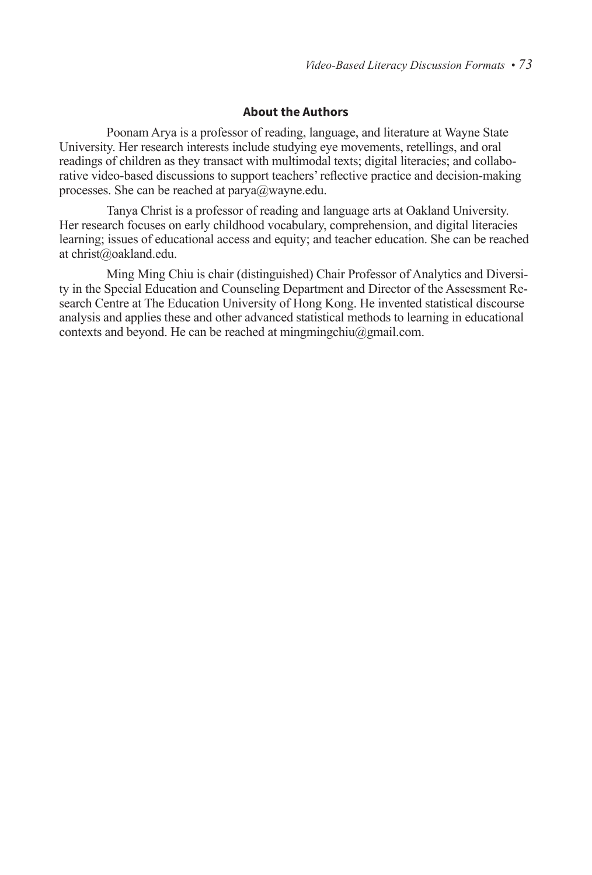### **About the Authors**

Poonam Arya is a professor of reading, language, and literature at Wayne State University. Her research interests include studying eye movements, retellings, and oral readings of children as they transact with multimodal texts; digital literacies; and collaborative video-based discussions to support teachers' reflective practice and decision-making processes. She can be reached at parya@wayne.edu.

Tanya Christ is a professor of reading and language arts at Oakland University. Her research focuses on early childhood vocabulary, comprehension, and digital literacies learning; issues of educational access and equity; and teacher education. She can be reached at christ@oakland.edu.

Ming Ming Chiu is chair (distinguished) Chair Professor of Analytics and Diversity in the Special Education and Counseling Department and Director of the Assessment Research Centre at The Education University of Hong Kong. He invented statistical discourse analysis and applies these and other advanced statistical methods to learning in educational contexts and beyond. He can be reached at mingmingchiu@gmail.com.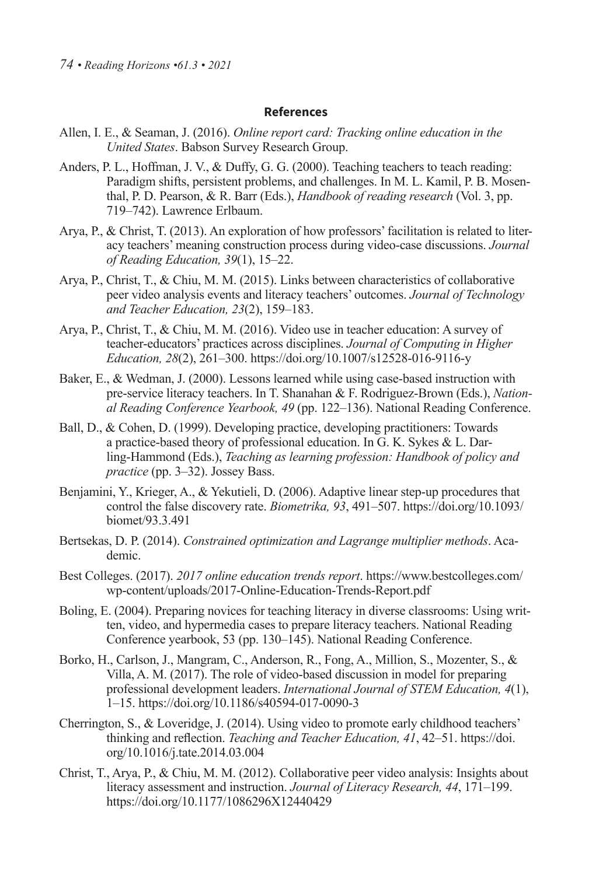#### **References**

- Allen, I. E., & Seaman, J. (2016). *Online report card: Tracking online education in the United States*. Babson Survey Research Group.
- Anders, P. L., Hoffman, J. V., & Duffy, G. G. (2000). Teaching teachers to teach reading: Paradigm shifts, persistent problems, and challenges. In M. L. Kamil, P. B. Mosenthal, P. D. Pearson, & R. Barr (Eds.), *Handbook of reading research* (Vol. 3, pp. 719–742). Lawrence Erlbaum.
- Arya, P., & Christ, T. (2013). An exploration of how professors' facilitation is related to literacy teachers' meaning construction process during video-case discussions. *Journal of Reading Education, 39*(1), 15–22.
- Arya, P., Christ, T., & Chiu, M. M. (2015). Links between characteristics of collaborative peer video analysis events and literacy teachers' outcomes. *Journal of Technology and Teacher Education, 23*(2), 159–183.
- Arya, P., Christ, T., & Chiu, M. M. (2016). Video use in teacher education: A survey of teacher-educators' practices across disciplines. *Journal of Computing in Higher Education, 28*(2), 261–300. https://doi.org/10.1007/s12528-016-9116-y
- Baker, E., & Wedman, J. (2000). Lessons learned while using case-based instruction with pre-service literacy teachers. In T. Shanahan & F. Rodriguez-Brown (Eds.), *National Reading Conference Yearbook, 49* (pp. 122–136). National Reading Conference.
- Ball, D., & Cohen, D. (1999). Developing practice, developing practitioners: Towards a practice-based theory of professional education. In G. K. Sykes & L. Darling-Hammond (Eds.), *Teaching as learning profession: Handbook of policy and practice* (pp. 3–32). Jossey Bass.
- Benjamini, Y., Krieger, A., & Yekutieli, D. (2006). Adaptive linear step-up procedures that control the false discovery rate. *Biometrika, 93*, 491–507. https://doi.org/10.1093/ biomet/93.3.491
- Bertsekas, D. P. (2014). *Constrained optimization and Lagrange multiplier methods*. Academic.
- Best Colleges. (2017). *2017 online education trends report*. https://www.bestcolleges.com/ wp-content/uploads/2017-Online-Education-Trends-Report.pdf
- Boling, E. (2004). Preparing novices for teaching literacy in diverse classrooms: Using written, video, and hypermedia cases to prepare literacy teachers. National Reading Conference yearbook, 53 (pp. 130–145). National Reading Conference.
- Borko, H., Carlson, J., Mangram, C., Anderson, R., Fong, A., Million, S., Mozenter, S., & Villa, A. M. (2017). The role of video-based discussion in model for preparing professional development leaders. *International Journal of STEM Education, 4*(1), 1–15. https://doi.org/10.1186/s40594-017-0090-3
- Cherrington, S., & Loveridge, J. (2014). Using video to promote early childhood teachers' thinking and reflection. *Teaching and Teacher Education, 41*, 42–51. https://doi. org/10.1016/j.tate.2014.03.004
- Christ, T., Arya, P., & Chiu, M. M. (2012). Collaborative peer video analysis: Insights about literacy assessment and instruction. *Journal of Literacy Research, 44*, 171–199. https://doi.org/10.1177/1086296X12440429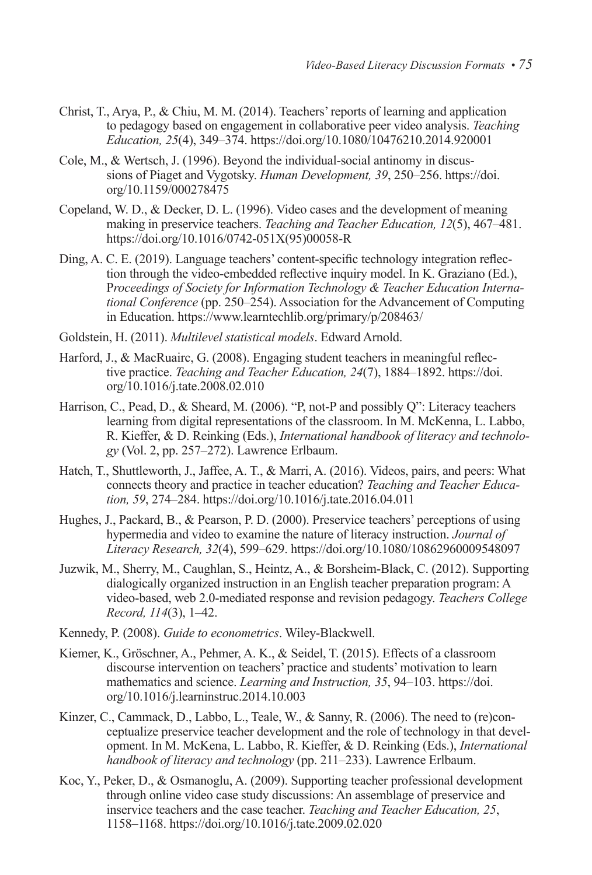- Christ, T., Arya, P., & Chiu, M. M. (2014). Teachers' reports of learning and application to pedagogy based on engagement in collaborative peer video analysis. *Teaching Education, 25*(4), 349–374. https://doi.org/10.1080/10476210.2014.920001
- Cole, M., & Wertsch, J. (1996). Beyond the individual-social antinomy in discussions of Piaget and Vygotsky. *Human Development, 39*, 250–256. https://doi. org/10.1159/000278475
- Copeland, W. D., & Decker, D. L. (1996). Video cases and the development of meaning making in preservice teachers. *Teaching and Teacher Education, 12*(5), 467–481. https://doi.org/10.1016/0742-051X(95)00058-R
- Ding, A. C. E. (2019). Language teachers' content-specific technology integration reflection through the video-embedded reflective inquiry model. In K. Graziano (Ed.), P*roceedings of Society for Information Technology & Teacher Education International Conference* (pp. 250–254). Association for the Advancement of Computing in Education. https://www.learntechlib.org/primary/p/208463/
- Goldstein, H. (2011). *Multilevel statistical models*. Edward Arnold.
- Harford, J., & MacRuairc, G. (2008). Engaging student teachers in meaningful reflective practice. *Teaching and Teacher Education, 24*(7), 1884–1892. https://doi. org/10.1016/j.tate.2008.02.010
- Harrison, C., Pead, D., & Sheard, M. (2006). "P, not-P and possibly Q": Literacy teachers learning from digital representations of the classroom. In M. McKenna, L. Labbo, R. Kieffer, & D. Reinking (Eds.), *International handbook of literacy and technology* (Vol. 2, pp. 257–272). Lawrence Erlbaum.
- Hatch, T., Shuttleworth, J., Jaffee, A. T., & Marri, A. (2016). Videos, pairs, and peers: What connects theory and practice in teacher education? *Teaching and Teacher Education, 59*, 274–284. https://doi.org/10.1016/j.tate.2016.04.011
- Hughes, J., Packard, B., & Pearson, P. D. (2000). Preservice teachers' perceptions of using hypermedia and video to examine the nature of literacy instruction. *Journal of Literacy Research, 32*(4), 599–629. https://doi.org/10.1080/10862960009548097
- Juzwik, M., Sherry, M., Caughlan, S., Heintz, A., & Borsheim-Black, C. (2012). Supporting dialogically organized instruction in an English teacher preparation program: A video-based, web 2.0-mediated response and revision pedagogy. *Teachers College Record, 114*(3), 1–42.
- Kennedy, P. (2008). *Guide to econometrics*. Wiley-Blackwell.
- Kiemer, K., Gröschner, A., Pehmer, A. K., & Seidel, T. (2015). Effects of a classroom discourse intervention on teachers' practice and students' motivation to learn mathematics and science. *Learning and Instruction, 35*, 94–103. https://doi. org/10.1016/j.learninstruc.2014.10.003
- Kinzer, C., Cammack, D., Labbo, L., Teale, W.,  $\&$  Sanny, R. (2006). The need to (re)conceptualize preservice teacher development and the role of technology in that development. In M. McKena, L. Labbo, R. Kieffer, & D. Reinking (Eds.), *International handbook of literacy and technology* (pp. 211–233). Lawrence Erlbaum.
- Koc, Y., Peker, D., & Osmanoglu, A. (2009). Supporting teacher professional development through online video case study discussions: An assemblage of preservice and inservice teachers and the case teacher. *Teaching and Teacher Education, 25*, 1158–1168. https://doi.org/10.1016/j.tate.2009.02.020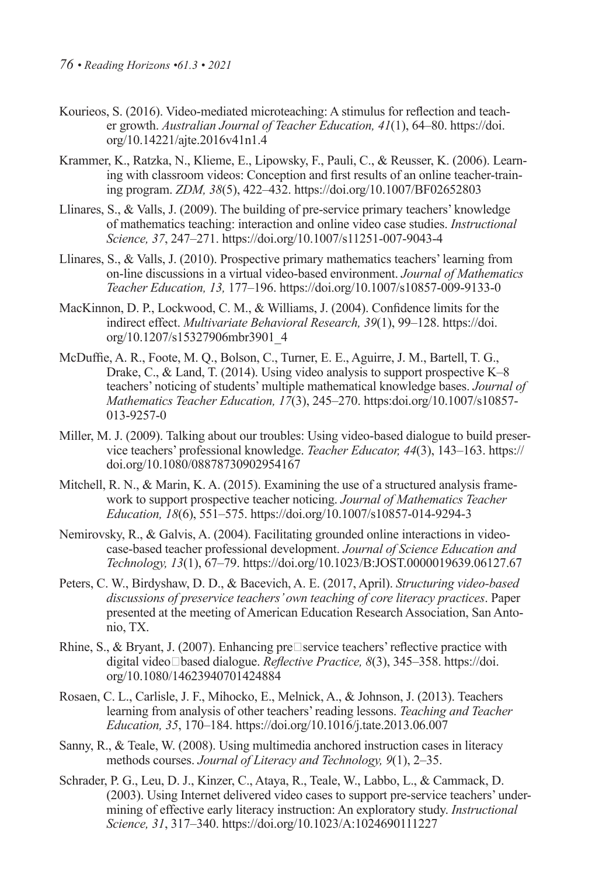- Kourieos, S. (2016). Video-mediated microteaching: A stimulus for reflection and teacher growth. *Australian Journal of Teacher Education, 41*(1), 64–80. https://doi. org/10.14221/ajte.2016v41n1.4
- Krammer, K., Ratzka, N., Klieme, E., Lipowsky, F., Pauli, C., & Reusser, K. (2006). Learning with classroom videos: Conception and first results of an online teacher-training program. *ZDM, 38*(5), 422–432. https://doi.org/10.1007/BF02652803
- Llinares, S., & Valls, J. (2009). The building of pre-service primary teachers' knowledge of mathematics teaching: interaction and online video case studies. *Instructional Science, 37*, 247–271. https://doi.org/10.1007/s11251-007-9043-4
- Llinares, S., & Valls, J. (2010). Prospective primary mathematics teachers' learning from on-line discussions in a virtual video-based environment. *Journal of Mathematics Teacher Education, 13,* 177–196. https://doi.org/10.1007/s10857-009-9133-0
- MacKinnon, D. P., Lockwood, C. M., & Williams, J. (2004). Confidence limits for the indirect effect. *Multivariate Behavioral Research, 39*(1), 99–128. https://doi. org/10.1207/s15327906mbr3901\_4
- McDuffie, A. R., Foote, M. Q., Bolson, C., Turner, E. E., Aguirre, J. M., Bartell, T. G., Drake, C., & Land, T. (2014). Using video analysis to support prospective K–8 teachers' noticing of students' multiple mathematical knowledge bases. *Journal of Mathematics Teacher Education, 17*(3), 245–270. https:doi.org/10.1007/s10857- 013-9257-0
- Miller, M. J. (2009). Talking about our troubles: Using video-based dialogue to build preservice teachers' professional knowledge. *Teacher Educator, 44*(3), 143–163. https:// doi.org/10.1080/08878730902954167
- Mitchell, R. N., & Marin, K. A. (2015). Examining the use of a structured analysis framework to support prospective teacher noticing. *Journal of Mathematics Teacher Education, 18*(6), 551–575. https://doi.org/10.1007/s10857-014-9294-3
- Nemirovsky, R., & Galvis, A. (2004). Facilitating grounded online interactions in videocase-based teacher professional development. *Journal of Science Education and Technology, 13*(1), 67–79. https://doi.org/10.1023/B:JOST.0000019639.06127.67
- Peters, C. W., Birdyshaw, D. D., & Bacevich, A. E. (2017, April). *Structuring video-based discussions of preservice teachers' own teaching of core literacy practices*. Paper presented at the meeting of American Education Research Association, San Antonio, TX.
- Rhine, S., & Bryant, J. (2007). Enhancing pre $\square$ service teachers' reflective practice with digital video‐based dialogue. *Reflective Practice, 8*(3), 345–358. https://doi. org/10.1080/14623940701424884
- Rosaen, C. L., Carlisle, J. F., Mihocko, E., Melnick, A., & Johnson, J. (2013). Teachers learning from analysis of other teachers' reading lessons. *Teaching and Teacher Education, 35*, 170–184. https://doi.org/10.1016/j.tate.2013.06.007
- Sanny, R., & Teale, W. (2008). Using multimedia anchored instruction cases in literacy methods courses. *Journal of Literacy and Technology, 9*(1), 2–35.
- Schrader, P. G., Leu, D. J., Kinzer, C., Ataya, R., Teale, W., Labbo, L., & Cammack, D. (2003). Using Internet delivered video cases to support pre-service teachers' undermining of effective early literacy instruction: An exploratory study. *Instructional Science, 31*, 317–340. https://doi.org/10.1023/A:1024690111227